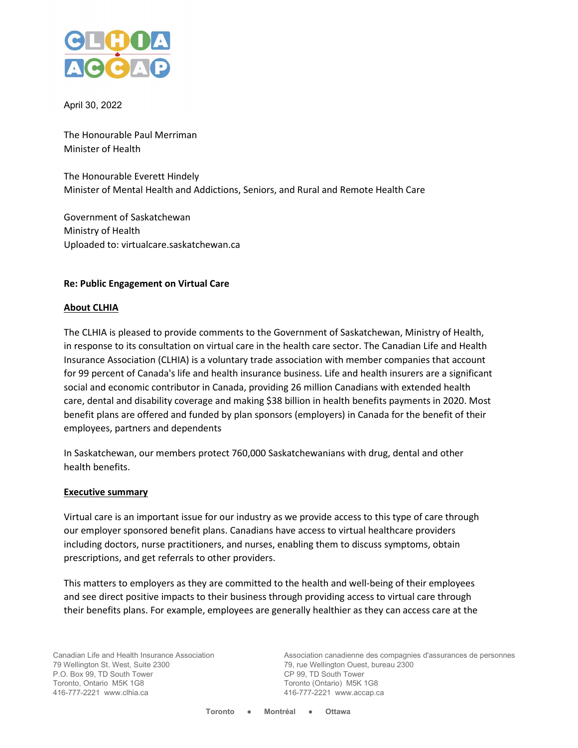

April 30, 2022

The Honourable Paul Merriman Minister of Health

The Honourable Everett Hindely Minister of Mental Health and Addictions, Seniors, and Rural and Remote Health Care

Government of Saskatchewan Ministry of Health Uploaded to: virtualcare.saskatchewan.ca

#### **Re: Public Engagement on Virtual Care**

#### **About CLHIA**

The CLHIA is pleased to provide comments to the Government of Saskatchewan, Ministry of Health, in response to its consultation on virtual care in the health care sector. The Canadian Life and Health Insurance Association (CLHIA) is a voluntary trade association with member companies that account for 99 percent of Canada's life and health insurance business. Life and health insurers are a significant social and economic contributor in Canada, providing 26 million Canadians with extended health care, dental and disability coverage and making \$38 billion in health benefits payments in 2020. Most benefit plans are offered and funded by plan sponsors (employers) in Canada for the benefit of their employees, partners and dependents

In Saskatchewan, our members protect 760,000 Saskatchewanians with drug, dental and other health benefits.

#### **Executive summary**

Virtual care is an important issue for our industry as we provide access to this type of care through our employer sponsored benefit plans. Canadians have access to virtual healthcare providers including doctors, nurse practitioners, and nurses, enabling them to discuss symptoms, obtain prescriptions, and get referrals to other providers.

This matters to employers as they are committed to the health and well-being of their employees and see direct positive impacts to their business through providing access to virtual care through their benefits plans. For example, employees are generally healthier as they can access care at the

Canadian Life and Health Insurance Association 79 Wellington St. West, Suite 2300 P.O. Box 99, TD South Tower Toronto, Ontario M5K 1G8 416-777-2221 www.clhia.ca

Association canadienne des compagnies d'assurances de personnes 79, rue Wellington Ouest, bureau 2300 CP 99, TD South Tower Toronto (Ontario) M5K 1G8 416-777-2221 www.accap.ca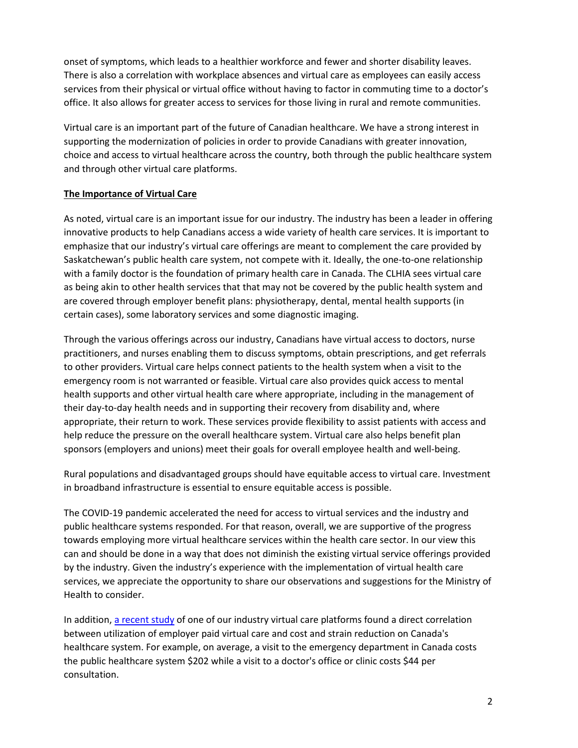onset of symptoms, which leads to a healthier workforce and fewer and shorter disability leaves. There is also a correlation with workplace absences and virtual care as employees can easily access services from their physical or virtual office without having to factor in commuting time to a doctor's office. It also allows for greater access to services for those living in rural and remote communities.

Virtual care is an important part of the future of Canadian healthcare. We have a strong interest in supporting the modernization of policies in order to provide Canadians with greater innovation, choice and access to virtual healthcare across the country, both through the public healthcare system and through other virtual care platforms.

### **The Importance of Virtual Care**

As noted, virtual care is an important issue for our industry. The industry has been a leader in offering innovative products to help Canadians access a wide variety of health care services. It is important to emphasize that our industry's virtual care offerings are meant to complement the care provided by Saskatchewan's public health care system, not compete with it. Ideally, the one-to-one relationship with a family doctor is the foundation of primary health care in Canada. The CLHIA sees virtual care as being akin to other health services that that may not be covered by the public health system and are covered through employer benefit plans: physiotherapy, dental, mental health supports (in certain cases), some laboratory services and some diagnostic imaging.

Through the various offerings across our industry, Canadians have virtual access to doctors, nurse practitioners, and nurses enabling them to discuss symptoms, obtain prescriptions, and get referrals to other providers. Virtual care helps connect patients to the health system when a visit to the emergency room is not warranted or feasible. Virtual care also provides quick access to mental health supports and other virtual health care where appropriate, including in the management of their day-to-day health needs and in supporting their recovery from disability and, where appropriate, their return to work. These services provide flexibility to assist patients with access and help reduce the pressure on the overall healthcare system. Virtual care also helps benefit plan sponsors (employers and unions) meet their goals for overall employee health and well-being.

Rural populations and disadvantaged groups should have equitable access to virtual care. Investment in broadband infrastructure is essential to ensure equitable access is possible.

The COVID-19 pandemic accelerated the need for access to virtual services and the industry and public healthcare systems responded. For that reason, overall, we are supportive of the progress towards employing more virtual healthcare services within the health care sector. In our view this can and should be done in a way that does not diminish the existing virtual service offerings provided by the industry. Given the industry's experience with the implementation of virtual health care services, we appreciate the opportunity to share our observations and suggestions for the Ministry of Health to consider.

In addition, [a recent study](https://www.newswire.ca/news-releases/dialogue-and-sun-life-telemedicine-report-reveals-potential-benefits-across-canadian-healthcare-systems-871029183.html) of one of our industry virtual care platforms found a direct correlation between utilization of employer paid virtual care and cost and strain reduction on Canada's healthcare system. For example, on average, a visit to the emergency department in Canada costs the public healthcare system \$202 while a visit to a doctor's office or clinic costs \$44 per consultation.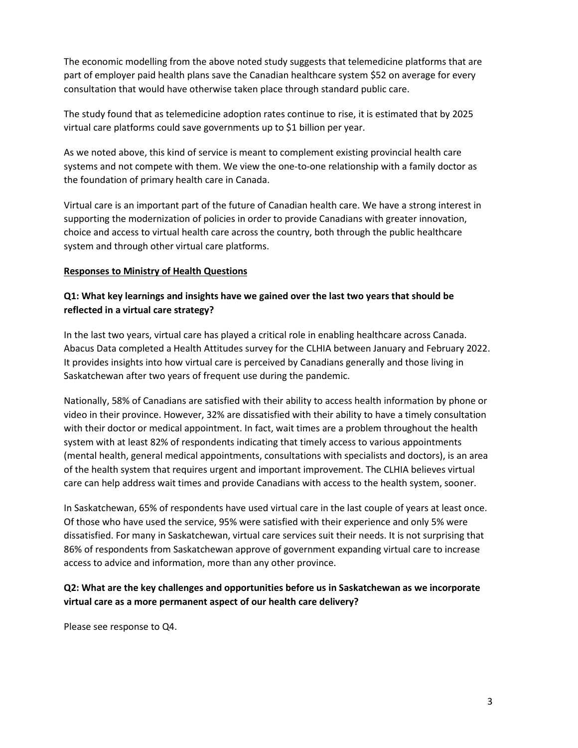The economic modelling from the above noted study suggests that telemedicine platforms that are part of employer paid health plans save the Canadian healthcare system \$52 on average for every consultation that would have otherwise taken place through standard public care.

The study found that as telemedicine adoption rates continue to rise, it is estimated that by 2025 virtual care platforms could save governments up to \$1 billion per year.

As we noted above, this kind of service is meant to complement existing provincial health care systems and not compete with them. We view the one-to-one relationship with a family doctor as the foundation of primary health care in Canada.

Virtual care is an important part of the future of Canadian health care. We have a strong interest in supporting the modernization of policies in order to provide Canadians with greater innovation, choice and access to virtual health care across the country, both through the public healthcare system and through other virtual care platforms.

### **Responses to Ministry of Health Questions**

## **Q1: What key learnings and insights have we gained over the last two years that should be reflected in a virtual care strategy?**

In the last two years, virtual care has played a critical role in enabling healthcare across Canada. Abacus Data completed a Health Attitudes survey for the CLHIA between January and February 2022. It provides insights into how virtual care is perceived by Canadians generally and those living in Saskatchewan after two years of frequent use during the pandemic.

Nationally, 58% of Canadians are satisfied with their ability to access health information by phone or video in their province. However, 32% are dissatisfied with their ability to have a timely consultation with their doctor or medical appointment. In fact, wait times are a problem throughout the health system with at least 82% of respondents indicating that timely access to various appointments (mental health, general medical appointments, consultations with specialists and doctors), is an area of the health system that requires urgent and important improvement. The CLHIA believes virtual care can help address wait times and provide Canadians with access to the health system, sooner.

In Saskatchewan, 65% of respondents have used virtual care in the last couple of years at least once. Of those who have used the service, 95% were satisfied with their experience and only 5% were dissatisfied. For many in Saskatchewan, virtual care services suit their needs. It is not surprising that 86% of respondents from Saskatchewan approve of government expanding virtual care to increase access to advice and information, more than any other province.

# **Q2: What are the key challenges and opportunities before us in Saskatchewan as we incorporate virtual care as a more permanent aspect of our health care delivery?**

Please see response to Q4.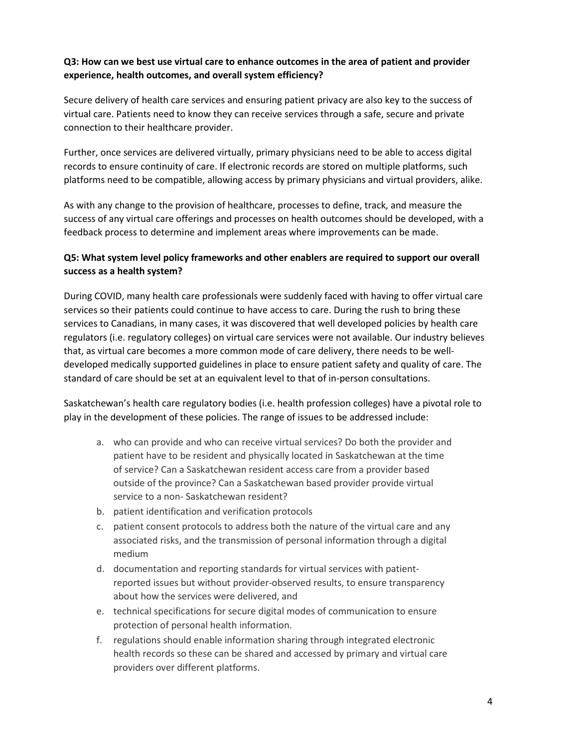## **Q3: How can we best use virtual care to enhance outcomes in the area of patient and provider experience, health outcomes, and overall system efficiency?**

Secure delivery of health care services and ensuring patient privacy are also key to the success of virtual care. Patients need to know they can receive services through a safe, secure and private connection to their healthcare provider.

Further, once services are delivered virtually, primary physicians need to be able to access digital records to ensure continuity of care. If electronic records are stored on multiple platforms, such platforms need to be compatible, allowing access by primary physicians and virtual providers, alike.

As with any change to the provision of healthcare, processes to define, track, and measure the success of any virtual care offerings and processes on health outcomes should be developed, with a feedback process to determine and implement areas where improvements can be made.

# **Q5: What system level policy frameworks and other enablers are required to support our overall success as a health system?**

During COVID, many health care professionals were suddenly faced with having to offer virtual care services so their patients could continue to have access to care. During the rush to bring these services to Canadians, in many cases, it was discovered that well developed policies by health care regulators (i.e. regulatory colleges) on virtual care services were not available. Our industry believes that, as virtual care becomes a more common mode of care delivery, there needs to be welldeveloped medically supported guidelines in place to ensure patient safety and quality of care. The standard of care should be set at an equivalent level to that of in-person consultations.

Saskatchewan's health care regulatory bodies (i.e. health profession colleges) have a pivotal role to play in the development of these policies. The range of issues to be addressed include:

- a. who can provide and who can receive virtual services? Do both the provider and patient have to be resident and physically located in Saskatchewan at the time of service? Can a Saskatchewan resident access care from a provider based outside of the province? Can a Saskatchewan based provider provide virtual service to a non- Saskatchewan resident?
- b. patient identification and verification protocols
- c. patient consent protocols to address both the nature of the virtual care and any associated risks, and the transmission of personal information through a digital medium
- d. documentation and reporting standards for virtual services with patientreported issues but without provider-observed results, to ensure transparency about how the services were delivered, and
- e. technical specifications for secure digital modes of communication to ensure protection of personal health information.
- f. regulations should enable information sharing through integrated electronic health records so these can be shared and accessed by primary and virtual care providers over different platforms.